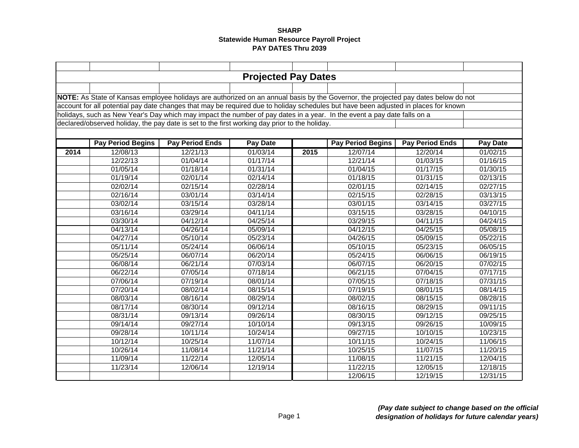|      |                                                                                                                                     |                        | <b>Projected Pay Dates</b> |      |                          |                        |                 |  |  |  |  |
|------|-------------------------------------------------------------------------------------------------------------------------------------|------------------------|----------------------------|------|--------------------------|------------------------|-----------------|--|--|--|--|
|      |                                                                                                                                     |                        |                            |      |                          |                        |                 |  |  |  |  |
|      | NOTE: As State of Kansas employee holidays are authorized on an annual basis by the Governor, the projected pay dates below do not  |                        |                            |      |                          |                        |                 |  |  |  |  |
|      | account for all potential pay date changes that may be required due to holiday schedules but have been adjusted in places for known |                        |                            |      |                          |                        |                 |  |  |  |  |
|      | holidays, such as New Year's Day which may impact the number of pay dates in a year. In the event a pay date falls on a             |                        |                            |      |                          |                        |                 |  |  |  |  |
|      |                                                                                                                                     |                        |                            |      |                          |                        |                 |  |  |  |  |
|      | declared/observed holiday, the pay date is set to the first working day prior to the holiday.                                       |                        |                            |      |                          |                        |                 |  |  |  |  |
|      |                                                                                                                                     |                        |                            |      |                          |                        |                 |  |  |  |  |
|      | <b>Pay Period Begins</b>                                                                                                            | <b>Pay Period Ends</b> | <b>Pay Date</b>            |      | <b>Pay Period Begins</b> | <b>Pay Period Ends</b> | <b>Pay Date</b> |  |  |  |  |
| 2014 | 12/08/13                                                                                                                            | 12/21/13               | 01/03/14                   | 2015 | 12/07/14                 | 12/20/14               | 01/02/15        |  |  |  |  |
|      | 12/22/13                                                                                                                            | 01/04/14               | 01/17/14                   |      | 12/21/14                 | 01/03/15               | 01/16/15        |  |  |  |  |
|      | 01/05/14                                                                                                                            | 01/18/14               | 01/31/14                   |      | 01/04/15                 | 01/17/15               | 01/30/15        |  |  |  |  |
|      | 01/19/14                                                                                                                            | 02/01/14               | 02/14/14                   |      | 01/18/15                 | 01/31/15               | 02/13/15        |  |  |  |  |
|      | 02/02/14                                                                                                                            | 02/15/14               | 02/28/14                   |      | 02/01/15                 | 02/14/15               | 02/27/15        |  |  |  |  |
|      | 02/16/14                                                                                                                            | 03/01/14               | 03/14/14                   |      | 02/15/15                 | 02/28/15               | 03/13/15        |  |  |  |  |
|      | 03/02/14                                                                                                                            | 03/15/14               | 03/28/14                   |      | 03/01/15                 | 03/14/15               | 03/27/15        |  |  |  |  |
|      | 03/16/14                                                                                                                            | 03/29/14               | 04/11/14                   |      | 03/15/15                 | 03/28/15               | 04/10/15        |  |  |  |  |
|      | 03/30/14                                                                                                                            | 04/12/14               | 04/25/14                   |      | 03/29/15                 | 04/11/15               | 04/24/15        |  |  |  |  |
|      | 04/13/14                                                                                                                            | 04/26/14               | 05/09/14                   |      | 04/12/15                 | 04/25/15               | 05/08/15        |  |  |  |  |
|      | 04/27/14                                                                                                                            | 05/10/14               | 05/23/14                   |      | 04/26/15                 | 05/09/15               | 05/22/15        |  |  |  |  |
|      | 05/11/14                                                                                                                            | 05/24/14               | 06/06/14                   |      | 05/10/15                 | 05/23/15               | 06/05/15        |  |  |  |  |
|      | 05/25/14                                                                                                                            | 06/07/14               | 06/20/14                   |      | 05/24/15                 | 06/06/15               | 06/19/15        |  |  |  |  |
|      | 06/08/14                                                                                                                            | 06/21/14               | 07/03/14                   |      | 06/07/15                 | 06/20/15               | 07/02/15        |  |  |  |  |
|      | 06/22/14                                                                                                                            | 07/05/14               | 07/18/14                   |      | 06/21/15                 | 07/04/15               | 07/17/15        |  |  |  |  |
|      | 07/06/14                                                                                                                            | 07/19/14               | 08/01/14                   |      | 07/05/15                 | 07/18/15               | 07/31/15        |  |  |  |  |
|      | 07/20/14                                                                                                                            | 08/02/14               | 08/15/14                   |      | 07/19/15                 | 08/01/15               | 08/14/15        |  |  |  |  |
|      | 08/03/14                                                                                                                            | 08/16/14               | 08/29/14                   |      | 08/02/15                 | 08/15/15               | 08/28/15        |  |  |  |  |
|      | 08/17/14                                                                                                                            | 08/30/14               | 09/12/14                   |      | $\overline{08/1}6/15$    | 08/29/15               | 09/11/15        |  |  |  |  |
|      | 08/31/14                                                                                                                            | 09/13/14               | 09/26/14                   |      | 08/30/15                 | 09/12/15               | 09/25/15        |  |  |  |  |
|      | 09/14/14                                                                                                                            | 09/27/14               | 10/10/14                   |      | 09/13/15                 | 09/26/15               | 10/09/15        |  |  |  |  |
|      | 09/28/14                                                                                                                            | 10/11/14               | 10/24/14                   |      | 09/27/15                 | 10/10/15               | 10/23/15        |  |  |  |  |
|      | 10/12/14                                                                                                                            | 10/25/14               | 11/07/14                   |      | 10/11/15                 | 10/24/15               | 11/06/15        |  |  |  |  |
|      | 10/26/14                                                                                                                            | 11/08/14               | 11/21/14                   |      | 10/25/15                 | 11/07/15               | 11/20/15        |  |  |  |  |
|      | 11/09/14                                                                                                                            | 11/22/14               | 12/05/14                   |      | 11/08/15                 | 11/21/15               | 12/04/15        |  |  |  |  |
|      | 11/23/14                                                                                                                            | 12/06/14               | 12/19/14                   |      | 11/22/15                 | 12/05/15               | 12/18/15        |  |  |  |  |
|      |                                                                                                                                     |                        |                            |      | 12/06/15                 | 12/19/15               | 12/31/15        |  |  |  |  |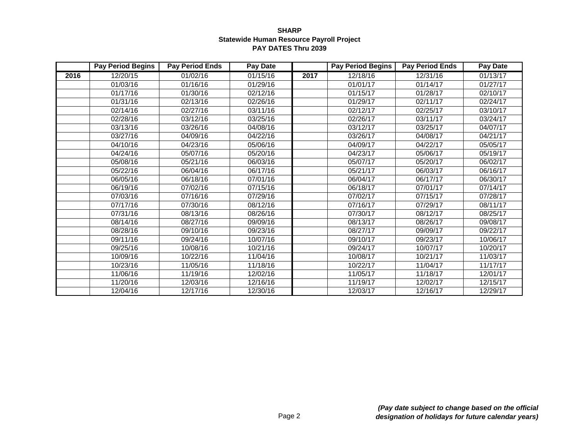|      | <b>Pay Period Begins</b> | <b>Pay Period Ends</b> | <b>Pay Date</b> |      | <b>Pay Period Begins</b> | <b>Pay Period Ends</b> | <b>Pay Date</b> |
|------|--------------------------|------------------------|-----------------|------|--------------------------|------------------------|-----------------|
| 2016 | 12/20/15                 | 01/02/16               | 01/15/16        | 2017 | 12/18/16                 | 12/31/16               | 01/13/17        |
|      | 01/03/16                 | 01/16/16               | 01/29/16        |      | 01/01/17                 | 01/14/17               | 01/27/17        |
|      | 01/17/16                 | 01/30/16               | 02/12/16        |      | 01/15/17                 | 01/28/17               | 02/10/17        |
|      | 01/31/16                 | 02/13/16               | 02/26/16        |      | 01/29/17                 | 02/11/17               | 02/24/17        |
|      | 02/14/16                 | 02/27/16               | 03/11/16        |      | 02/12/17                 | 02/25/17               | 03/10/17        |
|      | 02/28/16                 | 03/12/16               | 03/25/16        |      | 02/26/17                 | 03/11/17               | 03/24/17        |
|      | 03/13/16                 | 03/26/16               | 04/08/16        |      | 03/12/17                 | 03/25/17               | 04/07/17        |
|      | 03/27/16                 | 04/09/16               | 04/22/16        |      | 03/26/17                 | 04/08/17               | 04/21/17        |
|      | 04/10/16                 | 04/23/16               | 05/06/16        |      | 04/09/17                 | 04/22/17               | 05/05/17        |
|      | 04/24/16                 | 05/07/16               | 05/20/16        |      | 04/23/17                 | 05/06/17               | 05/19/17        |
|      | 05/08/16                 | 05/21/16               | 06/03/16        |      | 05/07/17                 | 05/20/17               | 06/02/17        |
|      | 05/22/16                 | 06/04/16               | 06/17/16        |      | 05/21/17                 | 06/03/17               | 06/16/17        |
|      | 06/05/16                 | 06/18/16               | 07/01/16        |      | 06/04/17                 | 06/17/17               | 06/30/17        |
|      | 06/19/16                 | 07/02/16               | 07/15/16        |      | 06/18/17                 | 07/01/17               | 07/14/17        |
|      | 07/03/16                 | 07/16/16               | 07/29/16        |      | 07/02/17                 | 07/15/17               | 07/28/17        |
|      | 07/17/16                 | 07/30/16               | 08/12/16        |      | 07/16/17                 | 07/29/17               | 08/11/17        |
|      | 07/31/16                 | 08/13/16               | 08/26/16        |      | 07/30/17                 | 08/12/17               | 08/25/17        |
|      | 08/14/16                 | 08/27/16               | 09/09/16        |      | 08/13/17                 | 08/26/17               | 09/08/17        |
|      | 08/28/16                 | 09/10/16               | 09/23/16        |      | 08/27/17                 | 09/09/17               | 09/22/17        |
|      | 09/11/16                 | 09/24/16               | 10/07/16        |      | 09/10/17                 | 09/23/17               | 10/06/17        |
|      | 09/25/16                 | 10/08/16               | 10/21/16        |      | 09/24/17                 | 10/07/17               | 10/20/17        |
|      | 10/09/16                 | 10/22/16               | 11/04/16        |      | 10/08/17                 | 10/21/17               | 11/03/17        |
|      | 10/23/16                 | 11/05/16               | 11/18/16        |      | 10/22/17                 | 11/04/17               | 11/17/17        |
|      | 11/06/16                 | 11/19/16               | 12/02/16        |      | 11/05/17                 | 11/18/17               | 12/01/17        |
|      | 11/20/16                 | 12/03/16               | 12/16/16        |      | 11/19/17                 | 12/02/17               | 12/15/17        |
|      | 12/04/16                 | 12/17/16               | 12/30/16        |      | 12/03/17                 | 12/16/17               | 12/29/17        |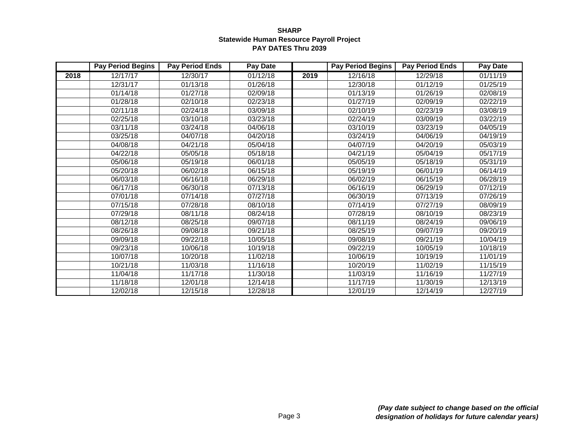|      | <b>Pay Period Begins</b> | <b>Pay Period Ends</b> | <b>Pay Date</b> |      | <b>Pay Period Begins</b> | <b>Pay Period Ends</b> | <b>Pay Date</b> |
|------|--------------------------|------------------------|-----------------|------|--------------------------|------------------------|-----------------|
| 2018 | 12/17/17                 | 12/30/17               | 01/12/18        | 2019 | 12/16/18                 | 12/29/18               | 01/11/19        |
|      | 12/31/17                 | 01/13/18               | 01/26/18        |      | 12/30/18                 | 01/12/19               | 01/25/19        |
|      | 01/14/18                 | 01/27/18               | 02/09/18        |      | 01/13/19                 | 01/26/19               | 02/08/19        |
|      | 01/28/18                 | 02/10/18               | 02/23/18        |      | 01/27/19                 | 02/09/19               | 02/22/19        |
|      | 02/11/18                 | 02/24/18               | 03/09/18        |      | 02/10/19                 | 02/23/19               | 03/08/19        |
|      | 02/25/18                 | 03/10/18               | 03/23/18        |      | 02/24/19                 | 03/09/19               | 03/22/19        |
|      | 03/11/18                 | 03/24/18               | 04/06/18        |      | 03/10/19                 | 03/23/19               | 04/05/19        |
|      | 03/25/18                 | 04/07/18               | 04/20/18        |      | 03/24/19                 | 04/06/19               | 04/19/19        |
|      | 04/08/18                 | 04/21/18               | 05/04/18        |      | 04/07/19                 | 04/20/19               | 05/03/19        |
|      | 04/22/18                 | 05/05/18               | 05/18/18        |      | 04/21/19                 | 05/04/19               | 05/17/19        |
|      | 05/06/18                 | 05/19/18               | 06/01/18        |      | 05/05/19                 | 05/18/19               | 05/31/19        |
|      | 05/20/18                 | 06/02/18               | 06/15/18        |      | 05/19/19                 | 06/01/19               | 06/14/19        |
|      | 06/03/18                 | 06/16/18               | 06/29/18        |      | 06/02/19                 | 06/15/19               | 06/28/19        |
|      | 06/17/18                 | 06/30/18               | 07/13/18        |      | 06/16/19                 | 06/29/19               | 07/12/19        |
|      | 07/01/18                 | 07/14/18               | 07/27/18        |      | 06/30/19                 | 07/13/19               | 07/26/19        |
|      | 07/15/18                 | 07/28/18               | 08/10/18        |      | 07/14/19                 | 07/27/19               | 08/09/19        |
|      | 07/29/18                 | 08/11/18               | 08/24/18        |      | 07/28/19                 | 08/10/19               | 08/23/19        |
|      | 08/12/18                 | 08/25/18               | 09/07/18        |      | 08/11/19                 | 08/24/19               | 09/06/19        |
|      | 08/26/18                 | 09/08/18               | 09/21/18        |      | 08/25/19                 | 09/07/19               | 09/20/19        |
|      | 09/09/18                 | 09/22/18               | 10/05/18        |      | 09/08/19                 | 09/21/19               | 10/04/19        |
|      | 09/23/18                 | 10/06/18               | 10/19/18        |      | 09/22/19                 | 10/05/19               | 10/18/19        |
|      | 10/07/18                 | 10/20/18               | 11/02/18        |      | 10/06/19                 | 10/19/19               | 11/01/19        |
|      | 10/21/18                 | 11/03/18               | 11/16/18        |      | 10/20/19                 | 11/02/19               | 11/15/19        |
|      | 11/04/18                 | 11/17/18               | 11/30/18        |      | 11/03/19                 | 11/16/19               | 11/27/19        |
|      | 11/18/18                 | 12/01/18               | 12/14/18        |      | 11/17/19                 | 11/30/19               | 12/13/19        |
|      | 12/02/18                 | 12/15/18               | 12/28/18        |      | 12/01/19                 | 12/14/19               | 12/27/19        |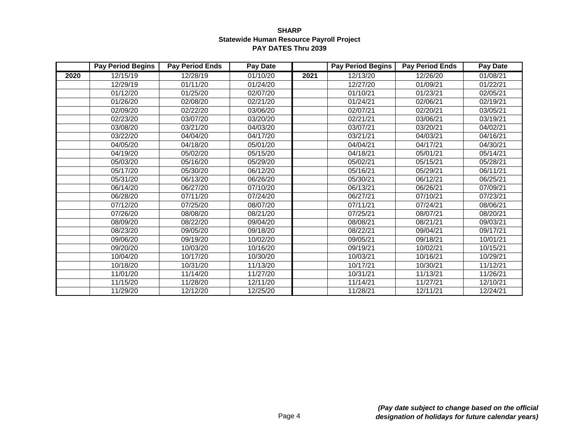|      | <b>Pay Period Begins</b> | <b>Pay Period Ends</b> | <b>Pay Date</b> |      | <b>Pay Period Begins</b> | <b>Pay Period Ends</b> | <b>Pay Date</b> |
|------|--------------------------|------------------------|-----------------|------|--------------------------|------------------------|-----------------|
| 2020 | 12/15/19                 | 12/28/19               | 01/10/20        | 2021 | 12/13/20                 | 12/26/20               | 01/08/21        |
|      | 12/29/19                 | 01/11/20               | 01/24/20        |      | 12/27/20                 | 01/09/21               | 01/22/21        |
|      | 01/12/20                 | 01/25/20               | 02/07/20        |      | 01/10/21                 | 01/23/21               | 02/05/21        |
|      | 01/26/20                 | 02/08/20               | 02/21/20        |      | 01/24/21                 | 02/06/21               | 02/19/21        |
|      | 02/09/20                 | 02/22/20               | 03/06/20        |      | 02/07/21                 | 02/20/21               | 03/05/21        |
|      | 02/23/20                 | 03/07/20               | 03/20/20        |      | 02/21/21                 | 03/06/21               | 03/19/21        |
|      | 03/08/20                 | 03/21/20               | 04/03/20        |      | 03/07/21                 | 03/20/21               | 04/02/21        |
|      | 03/22/20                 | 04/04/20               | 04/17/20        |      | 03/21/21                 | 04/03/21               | 04/16/21        |
|      | 04/05/20                 | 04/18/20               | 05/01/20        |      | 04/04/21                 | 04/17/21               | 04/30/21        |
|      | 04/19/20                 | 05/02/20               | 05/15/20        |      | 04/18/21                 | 05/01/21               | 05/14/21        |
|      | 05/03/20                 | 05/16/20               | 05/29/20        |      | 05/02/21                 | 05/15/21               | 05/28/21        |
|      | 05/17/20                 | 05/30/20               | 06/12/20        |      | 05/16/21                 | 05/29/21               | 06/11/21        |
|      | 05/31/20                 | 06/13/20               | 06/26/20        |      | 05/30/21                 | 06/12/21               | 06/25/21        |
|      | 06/14/20                 | 06/27/20               | 07/10/20        |      | 06/13/21                 | 06/26/21               | 07/09/21        |
|      | 06/28/20                 | 07/11/20               | 07/24/20        |      | 06/27/21                 | 07/10/21               | 07/23/21        |
|      | 07/12/20                 | 07/25/20               | 08/07/20        |      | 07/11/21                 | 07/24/21               | 08/06/21        |
|      | 07/26/20                 | 08/08/20               | 08/21/20        |      | 07/25/21                 | 08/07/21               | 08/20/21        |
|      | 08/09/20                 | 08/22/20               | 09/04/20        |      | 08/08/21                 | 08/21/21               | 09/03/21        |
|      | 08/23/20                 | 09/05/20               | 09/18/20        |      | 08/22/21                 | 09/04/21               | 09/17/21        |
|      | 09/06/20                 | 09/19/20               | 10/02/20        |      | 09/05/21                 | 09/18/21               | 10/01/21        |
|      | 09/20/20                 | 10/03/20               | 10/16/20        |      | 09/19/21                 | 10/02/21               | 10/15/21        |
|      | 10/04/20                 | 10/17/20               | 10/30/20        |      | 10/03/21                 | 10/16/21               | 10/29/21        |
|      | 10/18/20                 | 10/31/20               | 11/13/20        |      | 10/17/21                 | 10/30/21               | 11/12/21        |
|      | 11/01/20                 | 11/14/20               | 11/27/20        |      | 10/31/21                 | 11/13/21               | 11/26/21        |
|      | 11/15/20                 | 11/28/20               | 12/11/20        |      | 11/14/21                 | 11/27/21               | 12/10/21        |
|      | 11/29/20                 | 12/12/20               | 12/25/20        |      | 11/28/21                 | 12/11/21               | 12/24/21        |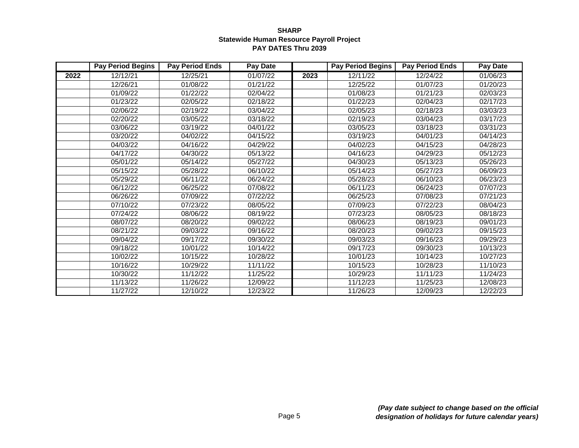|      | <b>Pay Period Begins</b> | <b>Pay Period Ends</b> | <b>Pay Date</b> |      | <b>Pay Period Begins</b> | <b>Pay Period Ends</b> | <b>Pay Date</b> |
|------|--------------------------|------------------------|-----------------|------|--------------------------|------------------------|-----------------|
| 2022 | 12/12/21                 | 12/25/21               | 01/07/22        | 2023 | 12/11/22                 | 12/24/22               | 01/06/23        |
|      | 12/26/21                 | 01/08/22               | 01/21/22        |      | 12/25/22                 | 01/07/23               | 01/20/23        |
|      | 01/09/22                 | 01/22/22               | 02/04/22        |      | 01/08/23                 | 01/21/23               | 02/03/23        |
|      | 01/23/22                 | 02/05/22               | 02/18/22        |      | 01/22/23                 | 02/04/23               | 02/17/23        |
|      | 02/06/22                 | 02/19/22               | 03/04/22        |      | 02/05/23                 | 02/18/23               | 03/03/23        |
|      | 02/20/22                 | 03/05/22               | 03/18/22        |      | 02/19/23                 | 03/04/23               | 03/17/23        |
|      | 03/06/22                 | 03/19/22               | 04/01/22        |      | 03/05/23                 | 03/18/23               | 03/31/23        |
|      | 03/20/22                 | 04/02/22               | 04/15/22        |      | 03/19/23                 | 04/01/23               | 04/14/23        |
|      | 04/03/22                 | 04/16/22               | 04/29/22        |      | 04/02/23                 | 04/15/23               | 04/28/23        |
|      | 04/17/22                 | 04/30/22               | 05/13/22        |      | 04/16/23                 | 04/29/23               | 05/12/23        |
|      | 05/01/22                 | 05/14/22               | 05/27/22        |      | 04/30/23                 | 05/13/23               | 05/26/23        |
|      | 05/15/22                 | 05/28/22               | 06/10/22        |      | 05/14/23                 | 05/27/23               | 06/09/23        |
|      | 05/29/22                 | 06/11/22               | 06/24/22        |      | 05/28/23                 | 06/10/23               | 06/23/23        |
|      | 06/12/22                 | 06/25/22               | 07/08/22        |      | 06/11/23                 | 06/24/23               | 07/07/23        |
|      | 06/26/22                 | 07/09/22               | 07/22/22        |      | 06/25/23                 | 07/08/23               | 07/21/23        |
|      | 07/10/22                 | 07/23/22               | 08/05/22        |      | 07/09/23                 | 07/22/23               | 08/04/23        |
|      | 07/24/22                 | 08/06/22               | 08/19/22        |      | 07/23/23                 | 08/05/23               | 08/18/23        |
|      | 08/07/22                 | 08/20/22               | 09/02/22        |      | 08/06/23                 | 08/19/23               | 09/01/23        |
|      | 08/21/22                 | 09/03/22               | 09/16/22        |      | 08/20/23                 | 09/02/23               | 09/15/23        |
|      | 09/04/22                 | 09/17/22               | 09/30/22        |      | 09/03/23                 | 09/16/23               | 09/29/23        |
|      | 09/18/22                 | 10/01/22               | 10/14/22        |      | 09/17/23                 | 09/30/23               | 10/13/23        |
|      | 10/02/22                 | 10/15/22               | 10/28/22        |      | 10/01/23                 | 10/14/23               | 10/27/23        |
|      | 10/16/22                 | 10/29/22               | 11/11/22        |      | 10/15/23                 | 10/28/23               | 11/10/23        |
|      | 10/30/22                 | 11/12/22               | 11/25/22        |      | 10/29/23                 | 11/11/23               | 11/24/23        |
|      | 11/13/22                 | 11/26/22               | 12/09/22        |      | 11/12/23                 | 11/25/23               | 12/08/23        |
|      | 11/27/22                 | 12/10/22               | 12/23/22        |      | 11/26/23                 | 12/09/23               | 12/22/23        |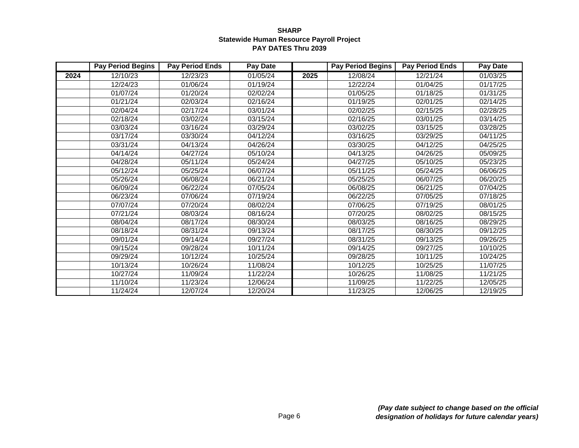|      | <b>Pay Period Begins</b> | <b>Pay Period Ends</b> | Pay Date              |      | <b>Pay Period Begins</b> | <b>Pay Period Ends</b> | <b>Pay Date</b> |
|------|--------------------------|------------------------|-----------------------|------|--------------------------|------------------------|-----------------|
| 2024 | 12/10/23                 | 12/23/23               | 01/05/24              | 2025 | 12/08/24                 | 12/21/24               | 01/03/25        |
|      | 12/24/23                 | 01/06/24               | 01/19/24              |      | 12/22/24                 | 01/04/25               | 01/17/25        |
|      | 01/07/24                 | 01/20/24               | 02/02/24              |      | 01/05/25                 | 01/18/25               | 01/31/25        |
|      | 01/21/24                 | 02/03/24               | 02/16/24              |      | 01/19/25                 | 02/01/25               | 02/14/25        |
|      | 02/04/24                 | 02/17/24               | 03/01/24              |      | 02/02/25                 | 02/15/25               | 02/28/25        |
|      | 02/18/24                 | 03/02/24               | 03/15/24              |      | 02/16/25                 | 03/01/25               | 03/14/25        |
|      | 03/03/24                 | 03/16/24               | 03/29/24              |      | 03/02/25                 | 03/15/25               | 03/28/25        |
|      | 03/17/24                 | 03/30/24               | 04/12/24              |      | 03/16/25                 | 03/29/25               | 04/11/25        |
|      | 03/31/24                 | 04/13/24               | 04/26/24              |      | 03/30/25                 | 04/12/25               | 04/25/25        |
|      | 04/14/24                 | 04/27/24               | $\overline{0}5/10/24$ |      | 04/13/25                 | 04/26/25               | 05/09/25        |
|      | 04/28/24                 | 05/11/24               | 05/24/24              |      | 04/27/25                 | 05/10/25               | 05/23/25        |
|      | 05/12/24                 | 05/25/24               | 06/07/24              |      | 05/11/25                 | 05/24/25               | 06/06/25        |
|      | 05/26/24                 | 06/08/24               | 06/21/24              |      | 05/25/25                 | 06/07/25               | 06/20/25        |
|      | 06/09/24                 | 06/22/24               | 07/05/24              |      | 06/08/25                 | 06/21/25               | 07/04/25        |
|      | 06/23/24                 | 07/06/24               | 07/19/24              |      | 06/22/25                 | 07/05/25               | 07/18/25        |
|      | 07/07/24                 | 07/20/24               | 08/02/24              |      | 07/06/25                 | 07/19/25               | 08/01/25        |
|      | 07/21/24                 | 08/03/24               | 08/16/24              |      | 07/20/25                 | 08/02/25               | 08/15/25        |
|      | 08/04/24                 | 08/17/24               | 08/30/24              |      | 08/03/25                 | 08/16/25               | 08/29/25        |
|      | 08/18/24                 | 08/31/24               | 09/13/24              |      | 08/17/25                 | 08/30/25               | 09/12/25        |
|      | 09/01/24                 | 09/14/24               | 09/27/24              |      | 08/31/25                 | 09/13/25               | 09/26/25        |
|      | 09/15/24                 | 09/28/24               | 10/11/24              |      | 09/14/25                 | 09/27/25               | 10/10/25        |
|      | 09/29/24                 | 10/12/24               | 10/25/24              |      | 09/28/25                 | 10/11/25               | 10/24/25        |
|      | 10/13/24                 | 10/26/24               | 11/08/24              |      | 10/12/25                 | 10/25/25               | 11/07/25        |
|      | 10/27/24                 | 11/09/24               | 11/22/24              |      | 10/26/25                 | 11/08/25               | 11/21/25        |
|      | 11/10/24                 | 11/23/24               | 12/06/24              |      | 11/09/25                 | 11/22/25               | 12/05/25        |
|      | 11/24/24                 | 12/07/24               | 12/20/24              |      | 11/23/25                 | 12/06/25               | 12/19/25        |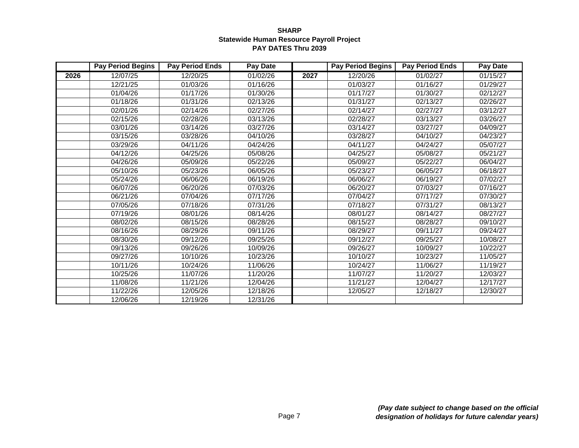|      | <b>Pay Period Begins</b> | <b>Pay Period Ends</b> | <b>Pay Date</b> |      | <b>Pay Period Begins</b> | <b>Pay Period Ends</b> | <b>Pay Date</b> |
|------|--------------------------|------------------------|-----------------|------|--------------------------|------------------------|-----------------|
| 2026 | 12/07/25                 | 12/20/25               | 01/02/26        | 2027 | 12/20/26                 | 01/02/27               | 01/15/27        |
|      | 12/21/25                 | 01/03/26               | 01/16/26        |      | 01/03/27                 | 01/16/27               | 01/29/27        |
|      | 01/04/26                 | 01/17/26               | 01/30/26        |      | 01/17/27                 | 01/30/27               | 02/12/27        |
|      | 01/18/26                 | 01/31/26               | 02/13/26        |      | 01/31/27                 | 02/13/27               | 02/26/27        |
|      | 02/01/26                 | 02/14/26               | 02/27/26        |      | 02/14/27                 | 02/27/27               | 03/12/27        |
|      | 02/15/26                 | 02/28/26               | 03/13/26        |      | 02/28/27                 | 03/13/27               | 03/26/27        |
|      | 03/01/26                 | 03/14/26               | 03/27/26        |      | 03/14/27                 | 03/27/27               | 04/09/27        |
|      | 03/15/26                 | 03/28/26               | 04/10/26        |      | 03/28/27                 | 04/10/27               | 04/23/27        |
|      | 03/29/26                 | 04/11/26               | 04/24/26        |      | 04/11/27                 | 04/24/27               | 05/07/27        |
|      | 04/12/26                 | 04/25/26               | 05/08/26        |      | 04/25/27                 | 05/08/27               | 05/21/27        |
|      | 04/26/26                 | 05/09/26               | 05/22/26        |      | 05/09/27                 | 05/22/27               | 06/04/27        |
|      | 05/10/26                 | 05/23/26               | 06/05/26        |      | 05/23/27                 | 06/05/27               | 06/18/27        |
|      | 05/24/26                 | 06/06/26               | 06/19/26        |      | 06/06/27                 | 06/19/27               | 07/02/27        |
|      | 06/07/26                 | 06/20/26               | 07/03/26        |      | 06/20/27                 | 07/03/27               | 07/16/27        |
|      | 06/21/26                 | 07/04/26               | 07/17/26        |      | 07/04/27                 | 07/17/27               | 07/30/27        |
|      | 07/05/26                 | 07/18/26               | 07/31/26        |      | 07/18/27                 | 07/31/27               | 08/13/27        |
|      | 07/19/26                 | 08/01/26               | 08/14/26        |      | 08/01/27                 | 08/14/27               | 08/27/27        |
|      | 08/02/26                 | 08/15/26               | 08/28/26        |      | 08/15/27                 | 08/28/27               | 09/10/27        |
|      | 08/16/26                 | 08/29/26               | 09/11/26        |      | 08/29/27                 | 09/11/27               | 09/24/27        |
|      | 08/30/26                 | 09/12/26               | 09/25/26        |      | 09/12/27                 | 09/25/27               | 10/08/27        |
|      | 09/13/26                 | 09/26/26               | 10/09/26        |      | 09/26/27                 | 10/09/27               | 10/22/27        |
|      | 09/27/26                 | 10/10/26               | 10/23/26        |      | 10/10/27                 | 10/23/27               | 11/05/27        |
|      | 10/11/26                 | 10/24/26               | 11/06/26        |      | 10/24/27                 | 11/06/27               | 11/19/27        |
|      | 10/25/26                 | 11/07/26               | 11/20/26        |      | 11/07/27                 | 11/20/27               | 12/03/27        |
|      | 11/08/26                 | 11/21/26               | 12/04/26        |      | 11/21/27                 | 12/04/27               | 12/17/27        |
|      | 11/22/26                 | 12/05/26               | 12/18/26        |      | 12/05/27                 | 12/18/27               | 12/30/27        |
|      | 12/06/26                 | 12/19/26               | 12/31/26        |      |                          |                        |                 |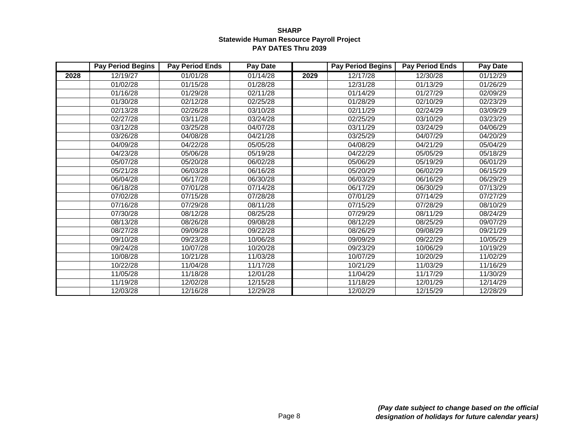|      | <b>Pay Period Begins</b> | <b>Pay Period Ends</b> | <b>Pay Date</b>       |      | <b>Pay Period Begins</b> | <b>Pay Period Ends</b> | <b>Pay Date</b> |
|------|--------------------------|------------------------|-----------------------|------|--------------------------|------------------------|-----------------|
| 2028 | 12/19/27                 | 01/01/28               | 01/14/28              | 2029 | 12/17/28                 | 12/30/28               | 01/12/29        |
|      | 01/02/28                 | 01/15/28               | 01/28/28              |      | 12/31/28                 | 01/13/29               | 01/26/29        |
|      | 01/16/28                 | 01/29/28               | 02/11/28              |      | 01/14/29                 | 01/27/29               | 02/09/29        |
|      | 01/30/28                 | 02/12/28               | 02/25/28              |      | 01/28/29                 | 02/10/29               | 02/23/29        |
|      | 02/13/28                 | 02/26/28               | 03/10/28              |      | 02/11/29                 | 02/24/29               | 03/09/29        |
|      | 02/27/28                 | 03/11/28               | 03/24/28              |      | 02/25/29                 | 03/10/29               | 03/23/29        |
|      | 03/12/28                 | 03/25/28               | 04/07/28              |      | 03/11/29                 | 03/24/29               | 04/06/29        |
|      | 03/26/28                 | 04/08/28               | 04/21/28              |      | 03/25/29                 | 04/07/29               | 04/20/29        |
|      | 04/09/28                 | 04/22/28               | 05/05/28              |      | 04/08/29                 | 04/21/29               | 05/04/29        |
|      | 04/23/28                 | 05/06/28               | 05/19/28              |      | 04/22/29                 | 05/05/29               | 05/18/29        |
|      | 05/07/28                 | 05/20/28               | 06/02/28              |      | 05/06/29                 | 05/19/29               | 06/01/29        |
|      | 05/21/28                 | 06/03/28               | 06/16/28              |      | 05/20/29                 | 06/02/29               | 06/15/29        |
|      | 06/04/28                 | 06/17/28               | 06/30/28              |      | 06/03/29                 | 06/16/29               | 06/29/29        |
|      | 06/18/28                 | 07/01/28               | 07/14/28              |      | 06/17/29                 | 06/30/29               | 07/13/29        |
|      | 07/02/28                 | 07/15/28               | 07/28/28              |      | 07/01/29                 | 07/14/29               | 07/27/29        |
|      | 07/16/28                 | 07/29/28               | 08/11/28              |      | 07/15/29                 | 07/28/29               | 08/10/29        |
|      | 07/30/28                 | 08/12/28               | 08/25/28              |      | 07/29/29                 | 08/11/29               | 08/24/29        |
|      | 08/13/28                 | 08/26/28               | 09/08/28              |      | 08/12/29                 | 08/25/29               | 09/07/29        |
|      | 08/27/28                 | 09/09/28               | 09/22/28              |      | 08/26/29                 | 09/08/29               | 09/21/29        |
|      | 09/10/28                 | 09/23/28               | 10/06/28              |      | 09/09/29                 | 09/22/29               | 10/05/29        |
|      | 09/24/28                 | 10/07/28               | 10/20/28              |      | 09/23/29                 | 10/06/29               | 10/19/29        |
|      | 10/08/28                 | 10/21/28               | 11/03/28              |      | 10/07/29                 | 10/20/29               | 11/02/29        |
|      | 10/22/28                 | 11/04/28               | $\overline{11}/17/28$ |      | 10/21/29                 | 11/03/29               | 11/16/29        |
|      | 11/05/28                 | 11/18/28               | 12/01/28              |      | 11/04/29                 | 11/17/29               | 11/30/29        |
|      | 11/19/28                 | 12/02/28               | 12/15/28              |      | 11/18/29                 | 12/01/29               | 12/14/29        |
|      | 12/03/28                 | 12/16/28               | 12/29/28              |      | 12/02/29                 | 12/15/29               | 12/28/29        |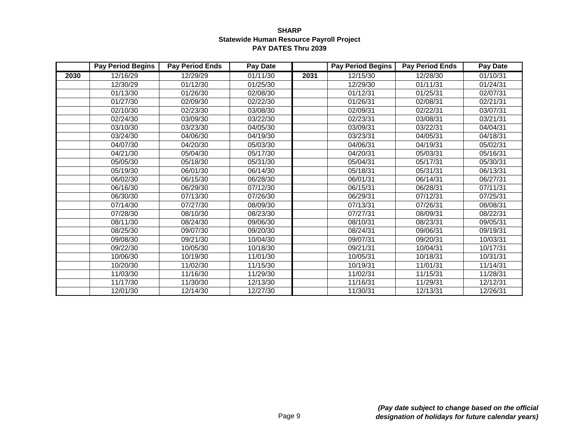|      | <b>Pay Period Begins</b> | <b>Pay Period Ends</b> | <b>Pay Date</b>       |      | <b>Pay Period Begins</b> | <b>Pay Period Ends</b> | <b>Pay Date</b> |
|------|--------------------------|------------------------|-----------------------|------|--------------------------|------------------------|-----------------|
| 2030 | 12/16/29                 | 12/29/29               | 01/11/30              | 2031 | 12/15/30                 | 12/28/30               | 01/10/31        |
|      | 12/30/29                 | 01/12/30               | 01/25/30              |      | 12/29/30                 | 01/11/31               | 01/24/31        |
|      | 01/13/30                 | 01/26/30               | 02/08/30              |      | 01/12/31                 | 01/25/31               | 02/07/31        |
|      | 01/27/30                 | 02/09/30               | 02/22/30              |      | 01/26/31                 | 02/08/31               | 02/21/31        |
|      | 02/10/30                 | 02/23/30               | 03/08/30              |      | 02/09/31                 | 02/22/31               | 03/07/31        |
|      | 02/24/30                 | 03/09/30               | 03/22/30              |      | 02/23/31                 | 03/08/31               | 03/21/31        |
|      | 03/10/30                 | 03/23/30               | 04/05/30              |      | 03/09/31                 | 03/22/31               | 04/04/31        |
|      | 03/24/30                 | 04/06/30               | 04/19/30              |      | 03/23/31                 | 04/05/31               | 04/18/31        |
|      | 04/07/30                 | 04/20/30               | 05/03/30              |      | 04/06/31                 | 04/19/31               | 05/02/31        |
|      | 04/21/30                 | 05/04/30               | 05/17/30              |      | 04/20/31                 | 05/03/31               | 05/16/31        |
|      | 05/05/30                 | 05/18/30               | 05/31/30              |      | 05/04/31                 | 05/17/31               | 05/30/31        |
|      | $\overline{05}/19/30$    | 06/01/30               | $\overline{06}/14/30$ |      | 05/18/31                 | 05/31/31               | 06/13/31        |
|      | 06/02/30                 | 06/15/30               | 06/28/30              |      | 06/01/31                 | 06/14/31               | 06/27/31        |
|      | 06/16/30                 | 06/29/30               | 07/12/30              |      | 06/15/31                 | 06/28/31               | 07/11/31        |
|      | 06/30/30                 | 07/13/30               | 07/26/30              |      | 06/29/31                 | 07/12/31               | 07/25/31        |
|      | 07/14/30                 | 07/27/30               | 08/09/30              |      | 07/13/31                 | 07/26/31               | 08/08/31        |
|      | 07/28/30                 | 08/10/30               | 08/23/30              |      | 07/27/31                 | 08/09/31               | 08/22/31        |
|      | 08/11/30                 | 08/24/30               | 09/06/30              |      | 08/10/31                 | 08/23/31               | 09/05/31        |
|      | 08/25/30                 | 09/07/30               | 09/20/30              |      | 08/24/31                 | 09/06/31               | 09/19/31        |
|      | 09/08/30                 | 09/21/30               | 10/04/30              |      | 09/07/31                 | 09/20/31               | 10/03/31        |
|      | 09/22/30                 | 10/05/30               | 10/18/30              |      | 09/21/31                 | 10/04/31               | 10/17/31        |
|      | 10/06/30                 | 10/19/30               | 11/01/30              |      | 10/05/31                 | 10/18/31               | 10/31/31        |
|      | 10/20/30                 | 11/02/30               | 11/15/30              |      | 10/19/31                 | 11/01/31               | 11/14/31        |
|      | 11/03/30                 | 11/16/30               | 11/29/30              |      | 11/02/31                 | 11/15/31               | 11/28/31        |
|      | 11/17/30                 | 11/30/30               | 12/13/30              |      | 11/16/31                 | 11/29/31               | 12/12/31        |
|      | 12/01/30                 | 12/14/30               | 12/27/30              |      | 11/30/31                 | 12/13/31               | 12/26/31        |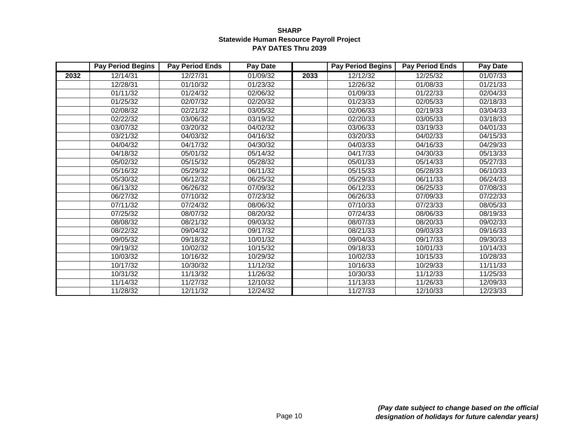|      | <b>Pay Period Begins</b> | <b>Pay Period Ends</b> | <b>Pay Date</b> |      | <b>Pay Period Begins</b> | <b>Pay Period Ends</b> | <b>Pay Date</b> |
|------|--------------------------|------------------------|-----------------|------|--------------------------|------------------------|-----------------|
| 2032 | 12/14/31                 | 12/27/31               | 01/09/32        | 2033 | 12/12/32                 | 12/25/32               | 01/07/33        |
|      | 12/28/31                 | 01/10/32               | 01/23/32        |      | 12/26/32                 | 01/08/33               | 01/21/33        |
|      | 01/11/32                 | 01/24/32               | 02/06/32        |      | 01/09/33                 | 01/22/33               | 02/04/33        |
|      | 01/25/32                 | 02/07/32               | 02/20/32        |      | 01/23/33                 | 02/05/33               | 02/18/33        |
|      | 02/08/32                 | 02/21/32               | 03/05/32        |      | 02/06/33                 | 02/19/33               | 03/04/33        |
|      | 02/22/32                 | 03/06/32               | 03/19/32        |      | 02/20/33                 | 03/05/33               | 03/18/33        |
|      | 03/07/32                 | 03/20/32               | 04/02/32        |      | 03/06/33                 | 03/19/33               | 04/01/33        |
|      | 03/21/32                 | 04/03/32               | 04/16/32        |      | $\overline{0}3/20/33$    | 04/02/33               | 04/15/33        |
|      | 04/04/32                 | 04/17/32               | 04/30/32        |      | 04/03/33                 | 04/16/33               | 04/29/33        |
|      | 04/18/32                 | 05/01/32               | 05/14/32        |      | 04/17/33                 | 04/30/33               | 05/13/33        |
|      | 05/02/32                 | 05/15/32               | 05/28/32        |      | 05/01/33                 | 05/14/33               | 05/27/33        |
|      | 05/16/32                 | 05/29/32               | 06/11/32        |      | 05/15/33                 | 05/28/33               | 06/10/33        |
|      | 05/30/32                 | 06/12/32               | 06/25/32        |      | 05/29/33                 | 06/11/33               | 06/24/33        |
|      | 06/13/32                 | 06/26/32               | 07/09/32        |      | 06/12/33                 | 06/25/33               | 07/08/33        |
|      | 06/27/32                 | 07/10/32               | 07/23/32        |      | 06/26/33                 | 07/09/33               | 07/22/33        |
|      | 07/11/32                 | 07/24/32               | 08/06/32        |      | 07/10/33                 | 07/23/33               | 08/05/33        |
|      | 07/25/32                 | 08/07/32               | 08/20/32        |      | 07/24/33                 | 08/06/33               | 08/19/33        |
|      | 08/08/32                 | 08/21/32               | 09/03/32        |      | 08/07/33                 | 08/20/33               | 09/02/33        |
|      | 08/22/32                 | 09/04/32               | 09/17/32        |      | 08/21/33                 | 09/03/33               | 09/16/33        |
|      | 09/05/32                 | 09/18/32               | 10/01/32        |      | 09/04/33                 | 09/17/33               | 09/30/33        |
|      | 09/19/32                 | 10/02/32               | 10/15/32        |      | 09/18/33                 | 10/01/33               | 10/14/33        |
|      | 10/03/32                 | 10/16/32               | 10/29/32        |      | 10/02/33                 | 10/15/33               | 10/28/33        |
|      | 10/17/32                 | 10/30/32               | 11/12/32        |      | 10/16/33                 | 10/29/33               | 11/11/33        |
|      | 10/31/32                 | 11/13/32               | 11/26/32        |      | 10/30/33                 | 11/12/33               | 11/25/33        |
|      | 11/14/32                 | 11/27/32               | 12/10/32        |      | 11/13/33                 | 11/26/33               | 12/09/33        |
|      | 11/28/32                 | 12/11/32               | 12/24/32        |      | 11/27/33                 | 12/10/33               | 12/23/33        |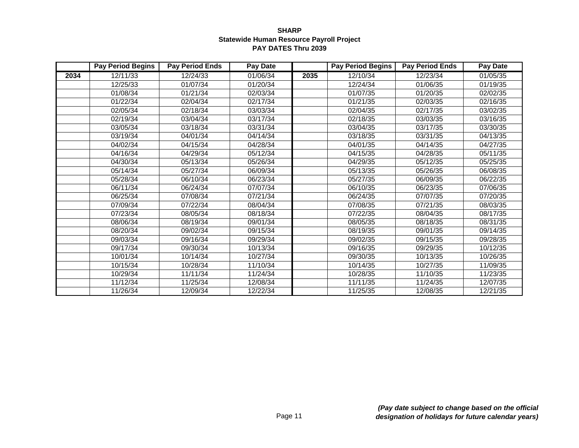|      | <b>Pay Period Begins</b> | <b>Pay Period Ends</b> | <b>Pay Date</b>        |      | <b>Pay Period Begins</b> | <b>Pay Period Ends</b> | <b>Pay Date</b> |
|------|--------------------------|------------------------|------------------------|------|--------------------------|------------------------|-----------------|
| 2034 | 12/11/33                 | 12/24/33               | 01/06/34               | 2035 | 12/10/34                 | 12/23/34               | 01/05/35        |
|      | 12/25/33                 | 01/07/34               | 01/20/34               |      | 12/24/34                 | 01/06/35               | 01/19/35        |
|      | 01/08/34                 | 01/21/34               | 02/03/34               |      | 01/07/35                 | 01/20/35               | 02/02/35        |
|      | 01/22/34                 | 02/04/34               | 02/17/34               |      | 01/21/35                 | 02/03/35               | 02/16/35        |
|      | 02/05/34                 | 02/18/34               | 03/03/34               |      | 02/04/35                 | 02/17/35               | 03/02/35        |
|      | 02/19/34                 | 03/04/34               | 03/17/34               |      | 02/18/35                 | 03/03/35               | 03/16/35        |
|      | 03/05/34                 | 03/18/34               | 03/31/34               |      | 03/04/35                 | 03/17/35               | 03/30/35        |
|      | 03/19/34                 | 04/01/34               | $\overline{0}$ 4/14/34 |      | 03/18/35                 | 03/31/35               | 04/13/35        |
|      | 04/02/34                 | 04/15/34               | 04/28/34               |      | 04/01/35                 | 04/14/35               | 04/27/35        |
|      | 04/16/34                 | 04/29/34               | 05/12/34               |      | 04/15/35                 | 04/28/35               | 05/11/35        |
|      | 04/30/34                 | 05/13/34               | 05/26/34               |      | 04/29/35                 | 05/12/35               | 05/25/35        |
|      | 05/14/34                 | 05/27/34               | 06/09/34               |      | 05/13/35                 | 05/26/35               | 06/08/35        |
|      | 05/28/34                 | 06/10/34               | 06/23/34               |      | 05/27/35                 | 06/09/35               | 06/22/35        |
|      | 06/11/34                 | 06/24/34               | 07/07/34               |      | 06/10/35                 | 06/23/35               | 07/06/35        |
|      | 06/25/34                 | 07/08/34               | 07/21/34               |      | 06/24/35                 | 07/07/35               | 07/20/35        |
|      | 07/09/34                 | 07/22/34               | 08/04/34               |      | 07/08/35                 | 07/21/35               | 08/03/35        |
|      | 07/23/34                 | 08/05/34               | 08/18/34               |      | 07/22/35                 | 08/04/35               | 08/17/35        |
|      | 08/06/34                 | 08/19/34               | 09/01/34               |      | 08/05/35                 | 08/18/35               | 08/31/35        |
|      | 08/20/34                 | 09/02/34               | 09/15/34               |      | 08/19/35                 | 09/01/35               | 09/14/35        |
|      | 09/03/34                 | 09/16/34               | 09/29/34               |      | 09/02/35                 | 09/15/35               | 09/28/35        |
|      | 09/17/34                 | 09/30/34               | 10/13/34               |      | $\overline{0}9/16/35$    | 09/29/35               | 10/12/35        |
|      | 10/01/34                 | 10/14/34               | 10/27/34               |      | 09/30/35                 | 10/13/35               | 10/26/35        |
|      | 10/15/34                 | 10/28/34               | 11/10/34               |      | 10/14/35                 | 10/27/35               | 11/09/35        |
|      | 10/29/34                 | 11/11/34               | 11/24/34               |      | 10/28/35                 | 11/10/35               | 11/23/35        |
|      | 11/12/34                 | 11/25/34               | 12/08/34               |      | 11/11/35                 | 11/24/35               | 12/07/35        |
|      | 11/26/34                 | 12/09/34               | 12/22/34               |      | 11/25/35                 | 12/08/35               | 12/21/35        |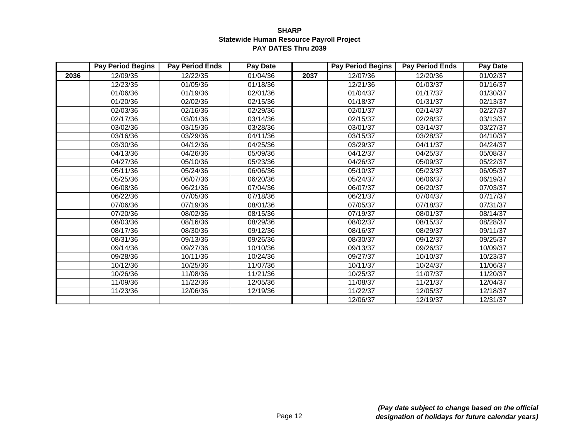|      | <b>Pay Period Begins</b> | <b>Pay Period Ends</b> | <b>Pay Date</b> |      | <b>Pay Period Begins</b> | <b>Pay Period Ends</b> | <b>Pay Date</b> |
|------|--------------------------|------------------------|-----------------|------|--------------------------|------------------------|-----------------|
| 2036 | 12/09/35                 | 12/22/35               | 01/04/36        | 2037 | 12/07/36                 | 12/20/36               | 01/02/37        |
|      | 12/23/35                 | 01/05/36               | 01/18/36        |      | 12/21/36                 | 01/03/37               | 01/16/37        |
|      | 01/06/36                 | 01/19/36               | 02/01/36        |      | 01/04/37                 | 01/17/37               | 01/30/37        |
|      | 01/20/36                 | 02/02/36               | 02/15/36        |      | 01/18/37                 | 01/31/37               | 02/13/37        |
|      | 02/03/36                 | 02/16/36               | 02/29/36        |      | 02/01/37                 | 02/14/37               | 02/27/37        |
|      | 02/17/36                 | 03/01/36               | 03/14/36        |      | 02/15/37                 | 02/28/37               | 03/13/37        |
|      | 03/02/36                 | 03/15/36               | 03/28/36        |      | 03/01/37                 | 03/14/37               | 03/27/37        |
|      | 03/16/36                 | 03/29/36               | 04/11/36        |      | 03/15/37                 | 03/28/37               | 04/10/37        |
|      | 03/30/36                 | 04/12/36               | 04/25/36        |      | 03/29/37                 | 04/11/37               | 04/24/37        |
|      | 04/13/36                 | 04/26/36               | 05/09/36        |      | 04/12/37                 | 04/25/37               | 05/08/37        |
|      | 04/27/36                 | 05/10/36               | 05/23/36        |      | 04/26/37                 | 05/09/37               | 05/22/37        |
|      | 05/11/36                 | 05/24/36               | 06/06/36        |      | 05/10/37                 | 05/23/37               | 06/05/37        |
|      | 05/25/36                 | 06/07/36               | 06/20/36        |      | 05/24/37                 | 06/06/37               | 06/19/37        |
|      | 06/08/36                 | 06/21/36               | 07/04/36        |      | 06/07/37                 | 06/20/37               | 07/03/37        |
|      | 06/22/36                 | 07/05/36               | 07/18/36        |      | 06/21/37                 | 07/04/37               | 07/17/37        |
|      | 07/06/36                 | 07/19/36               | 08/01/36        |      | 07/05/37                 | 07/18/37               | 07/31/37        |
|      | 07/20/36                 | 08/02/36               | 08/15/36        |      | 07/19/37                 | 08/01/37               | 08/14/37        |
|      | 08/03/36                 | 08/16/36               | 08/29/36        |      | 08/02/37                 | 08/15/37               | 08/28/37        |
|      | 08/17/36                 | 08/30/36               | 09/12/36        |      | 08/16/37                 | 08/29/37               | 09/11/37        |
|      | 08/31/36                 | 09/13/36               | 09/26/36        |      | 08/30/37                 | 09/12/37               | 09/25/37        |
|      | 09/14/36                 | 09/27/36               | 10/10/36        |      | 09/13/37                 | 09/26/37               | 10/09/37        |
|      | 09/28/36                 | 10/11/36               | 10/24/36        |      | 09/27/37                 | 10/10/37               | 10/23/37        |
|      | 10/12/36                 | 10/25/36               | 11/07/36        |      | 10/11/37                 | 10/24/37               | 11/06/37        |
|      | 10/26/36                 | 11/08/36               | 11/21/36        |      | 10/25/37                 | 11/07/37               | 11/20/37        |
|      | 11/09/36                 | 11/22/36               | 12/05/36        |      | 11/08/37                 | 11/21/37               | 12/04/37        |
|      | 11/23/36                 | 12/06/36               | 12/19/36        |      | 11/22/37                 | 12/05/37               | 12/18/37        |
|      |                          |                        |                 |      | 12/06/37                 | 12/19/37               | 12/31/37        |